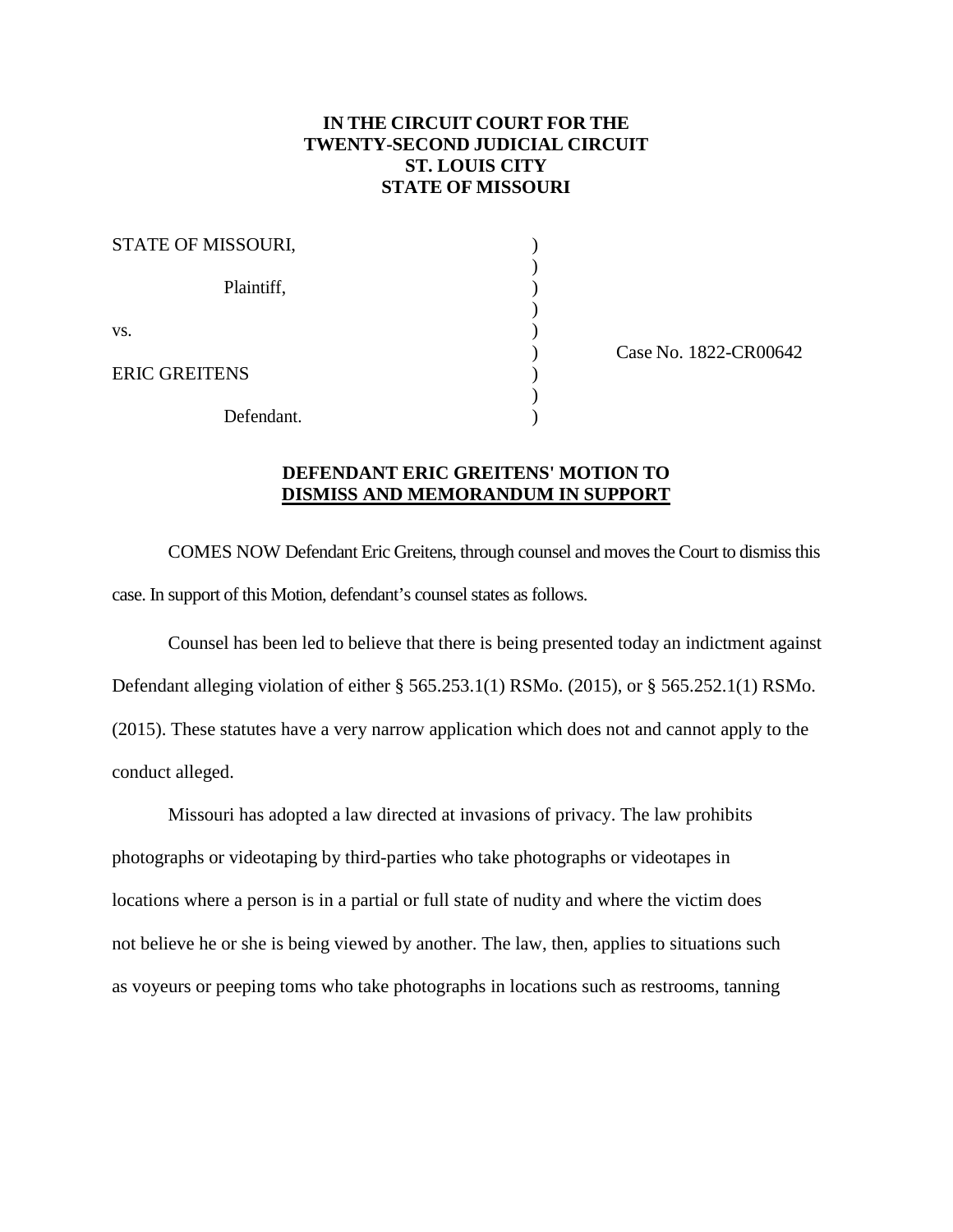## **IN THE CIRCUIT COURT FOR THE TWENTY-SECOND JUDICIAL CIRCUIT ST. LOUIS CITY STATE OF MISSOURI**

| STATE OF MISSOURI,   |  |
|----------------------|--|
| Plaintiff,           |  |
| VS.                  |  |
| <b>ERIC GREITENS</b> |  |
| Defendant.           |  |

) Case No. 1822-CR00642

## **DEFENDANT ERIC GREITENS' MOTION TO DISMISS AND MEMORANDUM IN SUPPORT**

COMES NOW Defendant Eric Greitens, through counsel and moves the Court to dismiss this case. In support of this Motion, defendant's counsel states as follows.

Counsel has been led to believe that there is being presented today an indictment against Defendant alleging violation of either § 565.253.1(1) RSMo. (2015), or § 565.252.1(1) RSMo. (2015). These statutes have a very narrow application which does not and cannot apply to the conduct alleged.

Missouri has adopted a law directed at invasions of privacy. The law prohibits photographs or videotaping by third-parties who take photographs or videotapes in locations where a person is in a partial or full state of nudity and where the victim does not believe he or she is being viewed by another. The law, then, applies to situations such as voyeurs or peeping toms who take photographs in locations such as restrooms, tanning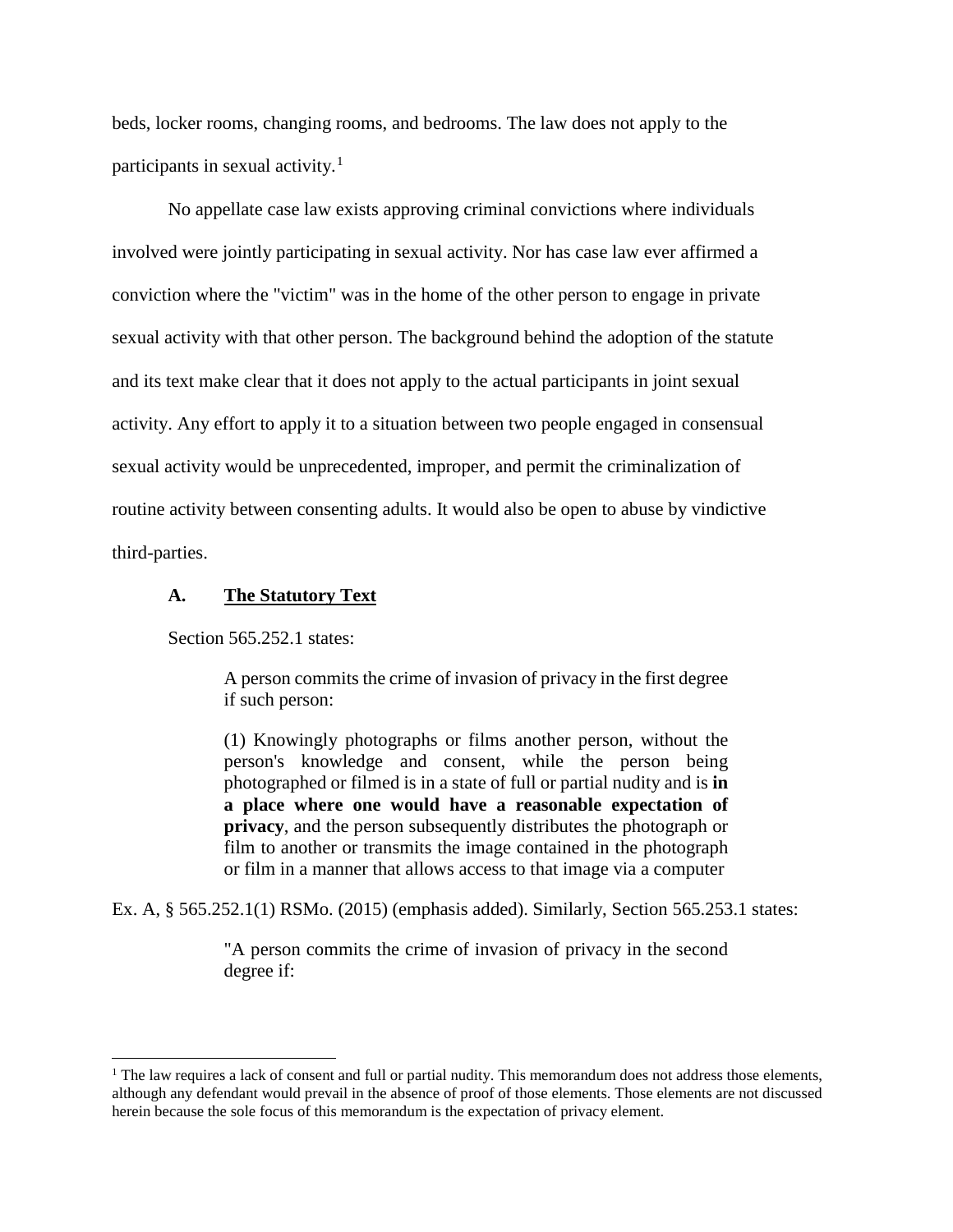beds, locker rooms, changing rooms, and bedrooms. The law does not apply to the participants in sexual activity.<sup>[1](#page-1-0)</sup>

No appellate case law exists approving criminal convictions where individuals involved were jointly participating in sexual activity. Nor has case law ever affirmed a conviction where the "victim" was in the home of the other person to engage in private sexual activity with that other person. The background behind the adoption of the statute and its text make clear that it does not apply to the actual participants in joint sexual activity. Any effort to apply it to a situation between two people engaged in consensual sexual activity would be unprecedented, improper, and permit the criminalization of routine activity between consenting adults. It would also be open to abuse by vindictive third-parties.

#### **A. The Statutory Text**

Section 565.252.1 states:

 $\overline{a}$ 

A person commits the crime of invasion of privacy in the first degree if such person:

(1) Knowingly photographs or films another person, without the person's knowledge and consent, while the person being photographed or filmed is in a state of full or partial nudity and is **in a place where one would have a reasonable expectation of privacy**, and the person subsequently distributes the photograph or film to another or transmits the image contained in the photograph or film in a manner that allows access to that image via a computer

Ex. A, § 565.252.1(1) RSMo. (2015) (emphasis added). Similarly, Section 565.253.1 states:

"A person commits the crime of invasion of privacy in the second degree if:

<span id="page-1-0"></span> $<sup>1</sup>$  The law requires a lack of consent and full or partial nudity. This memorandum does not address those elements,</sup> although any defendant would prevail in the absence of proof of those elements. Those elements are not discussed herein because the sole focus of this memorandum is the expectation of privacy element.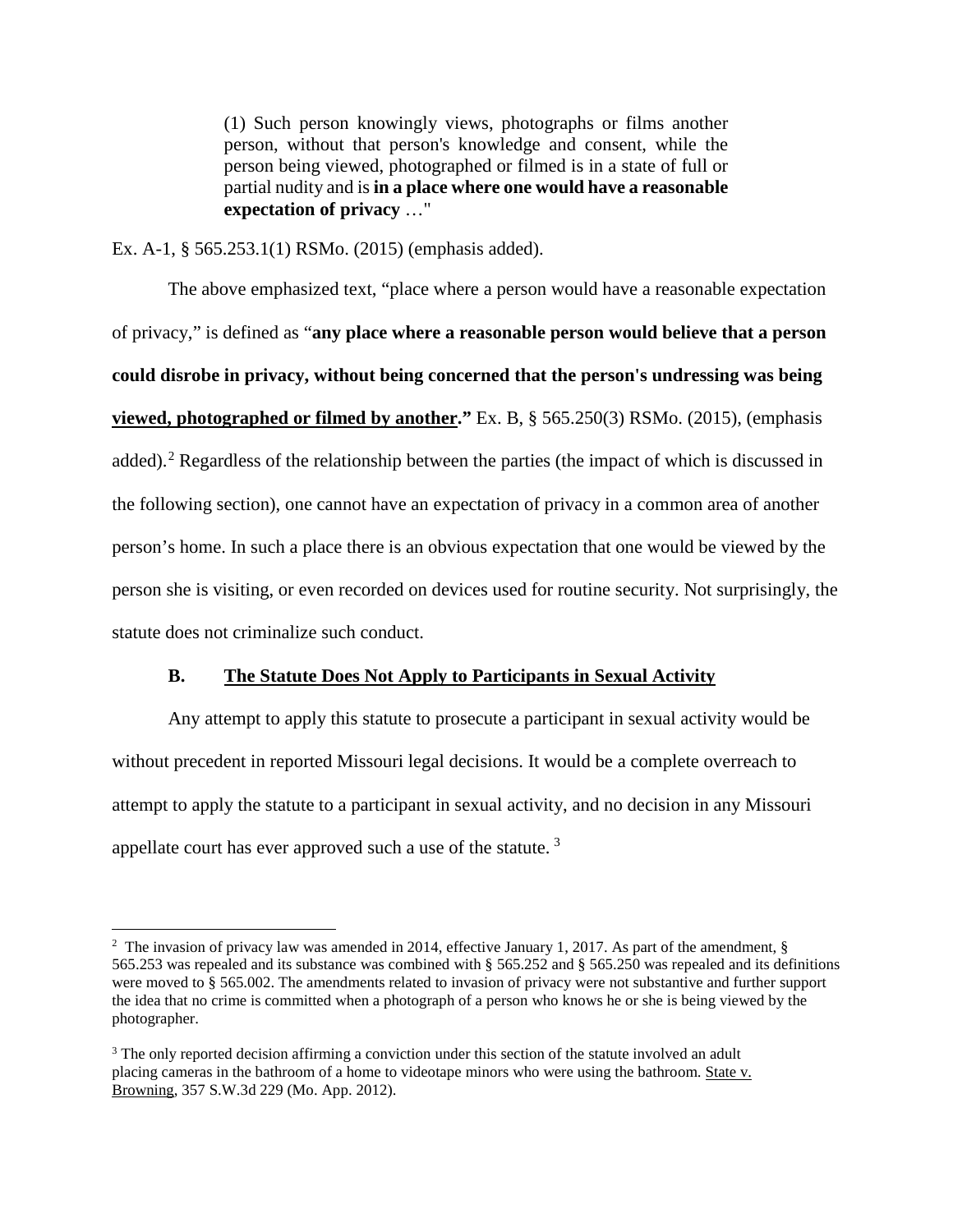(1) Such person knowingly views, photographs or films another person, without that person's knowledge and consent, while the person being viewed, photographed or filmed is in a state of full or partial nudity and is **in a place where one would have a reasonable expectation of privacy** …"

Ex. A-1, § 565.253.1(1) RSMo. (2015) (emphasis added).

The above emphasized text, "place where a person would have a reasonable expectation of privacy," is defined as "**any place where a reasonable person would believe that a person could disrobe in privacy, without being concerned that the person's undressing was being viewed, photographed or filmed by another."** Ex. B, § 565.250(3) RSMo. (2015), (emphasis added).<sup>[2](#page-2-0)</sup> Regardless of the relationship between the parties (the impact of which is discussed in the following section), one cannot have an expectation of privacy in a common area of another person's home. In such a place there is an obvious expectation that one would be viewed by the person she is visiting, or even recorded on devices used for routine security. Not surprisingly, the statute does not criminalize such conduct.

## **B. The Statute Does Not Apply to Participants in Sexual Activity**

Any attempt to apply this statute to prosecute a participant in sexual activity would be without precedent in reported Missouri legal decisions. It would be a complete overreach to attempt to apply the statute to a participant in sexual activity, and no decision in any Missouri appellate court has ever approved such a use of the statute.  $3$ 

 $\overline{a}$ 

<span id="page-2-0"></span><sup>&</sup>lt;sup>2</sup> The invasion of privacy law was amended in 2014, effective January 1, 2017. As part of the amendment, § 565.253 was repealed and its substance was combined with § 565.252 and § 565.250 was repealed and its definitions were moved to § 565.002. The amendments related to invasion of privacy were not substantive and further support the idea that no crime is committed when a photograph of a person who knows he or she is being viewed by the photographer.

<span id="page-2-1"></span><sup>&</sup>lt;sup>3</sup> The only reported decision affirming a conviction under this section of the statute involved an adult placing cameras in the bathroom of a home to videotape minors who were using the bathroom. State v. Browning, 357 S.W.3d 229 (Mo. App. 2012).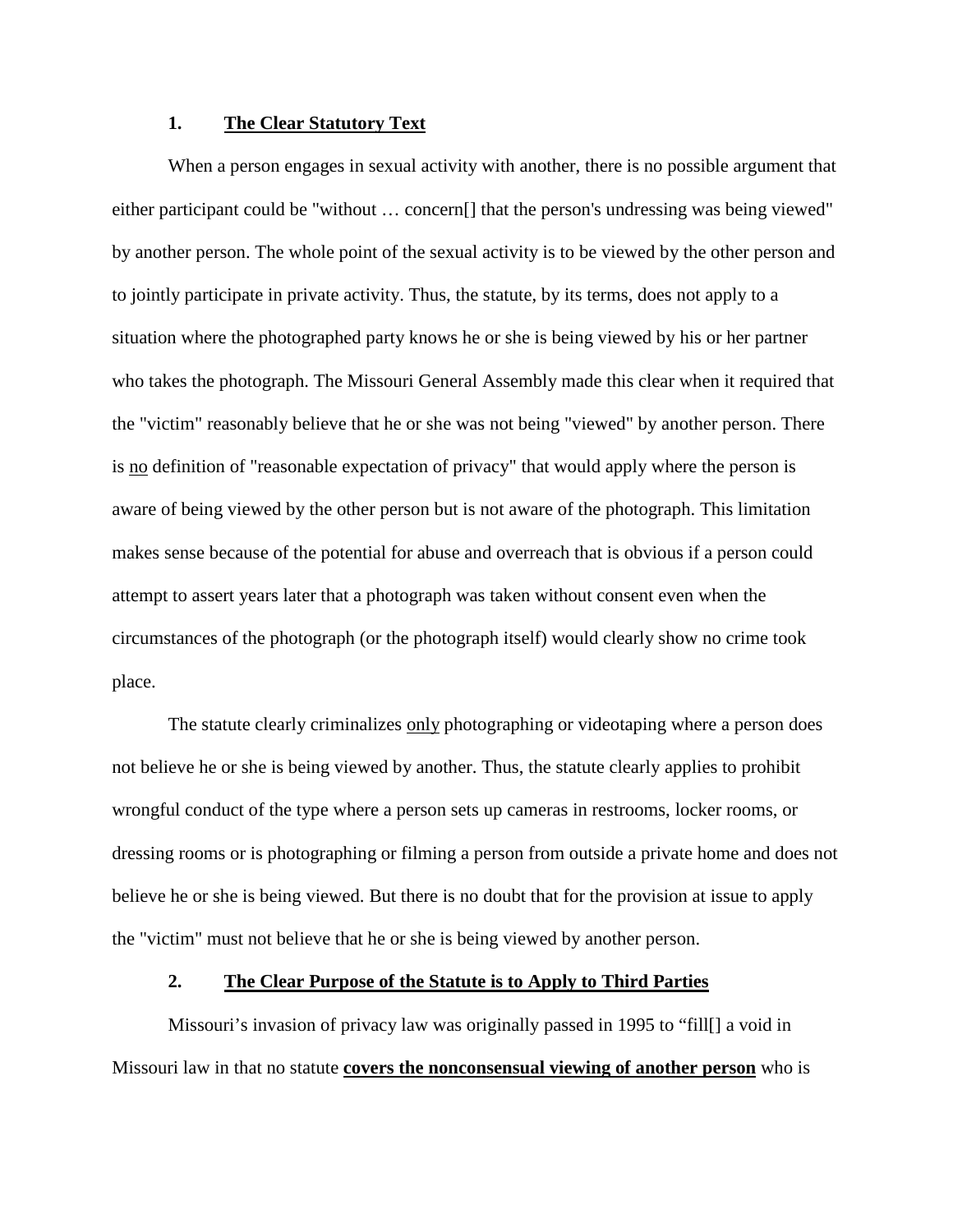### **1. The Clear Statutory Text**

When a person engages in sexual activity with another, there is no possible argument that either participant could be "without … concern[] that the person's undressing was being viewed" by another person. The whole point of the sexual activity is to be viewed by the other person and to jointly participate in private activity. Thus, the statute, by its terms, does not apply to a situation where the photographed party knows he or she is being viewed by his or her partner who takes the photograph. The Missouri General Assembly made this clear when it required that the "victim" reasonably believe that he or she was not being "viewed" by another person. There is no definition of "reasonable expectation of privacy" that would apply where the person is aware of being viewed by the other person but is not aware of the photograph. This limitation makes sense because of the potential for abuse and overreach that is obvious if a person could attempt to assert years later that a photograph was taken without consent even when the circumstances of the photograph (or the photograph itself) would clearly show no crime took place.

The statute clearly criminalizes only photographing or videotaping where a person does not believe he or she is being viewed by another. Thus, the statute clearly applies to prohibit wrongful conduct of the type where a person sets up cameras in restrooms, locker rooms, or dressing rooms or is photographing or filming a person from outside a private home and does not believe he or she is being viewed. But there is no doubt that for the provision at issue to apply the "victim" must not believe that he or she is being viewed by another person.

### **2. The Clear Purpose of the Statute is to Apply to Third Parties**

Missouri's invasion of privacy law was originally passed in 1995 to "fill[] a void in Missouri law in that no statute **covers the nonconsensual viewing of another person** who is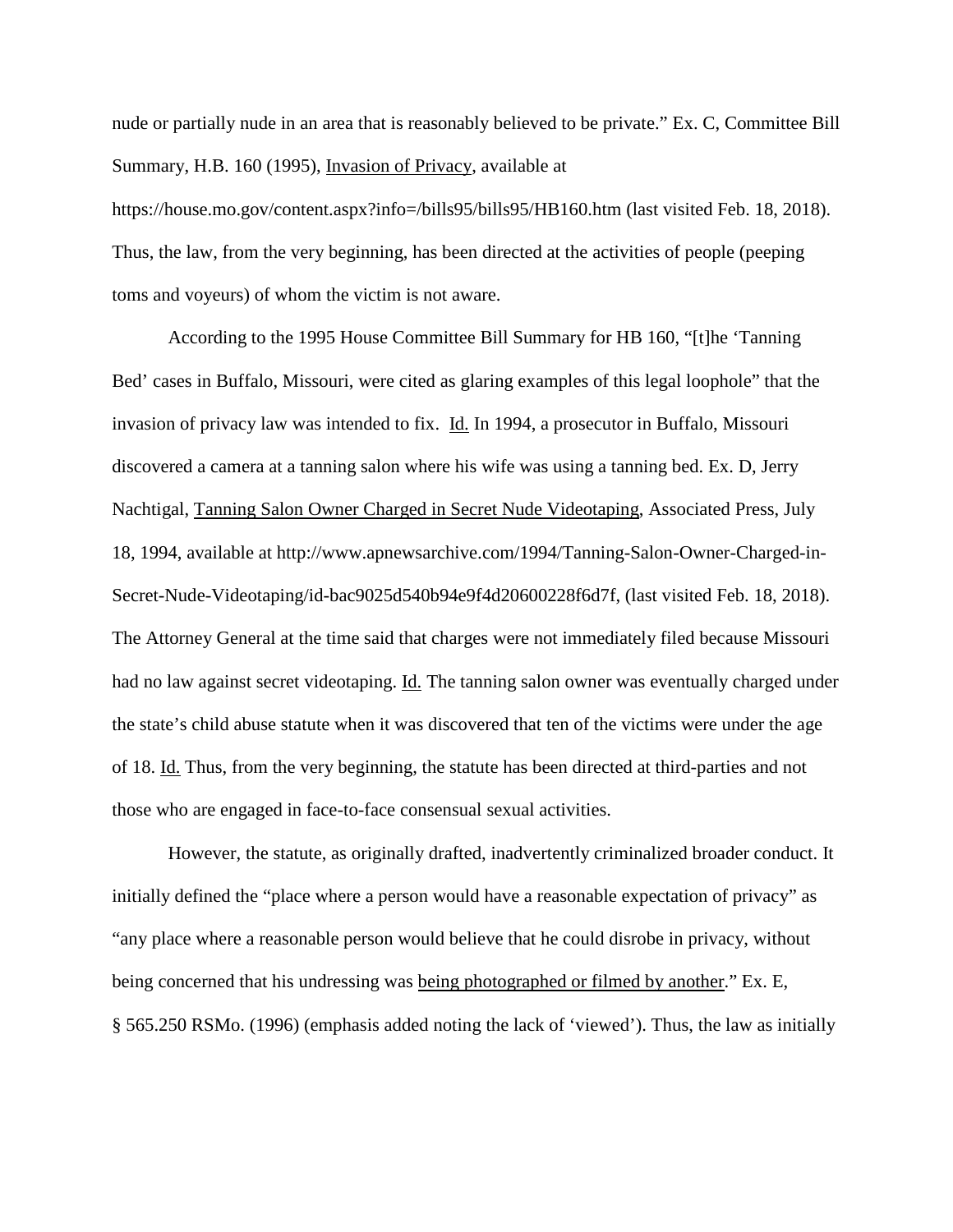nude or partially nude in an area that is reasonably believed to be private." Ex. C, Committee Bill Summary, H.B. 160 (1995), Invasion of Privacy, available at

https://house.mo.gov/content.aspx?info=/bills95/bills95/HB160.htm (last visited Feb. 18, 2018). Thus, the law, from the very beginning, has been directed at the activities of people (peeping toms and voyeurs) of whom the victim is not aware.

According to the 1995 House Committee Bill Summary for HB 160, "[t]he 'Tanning Bed' cases in Buffalo, Missouri, were cited as glaring examples of this legal loophole" that the invasion of privacy law was intended to fix. Id. In 1994, a prosecutor in Buffalo, Missouri discovered a camera at a tanning salon where his wife was using a tanning bed. Ex. D, Jerry Nachtigal, Tanning Salon Owner Charged in Secret Nude Videotaping, Associated Press, July 18, 1994, available at http://www.apnewsarchive.com/1994/Tanning-Salon-Owner-Charged-in-Secret-Nude-Videotaping/id-bac9025d540b94e9f4d20600228f6d7f, (last visited Feb. 18, 2018). The Attorney General at the time said that charges were not immediately filed because Missouri had no law against secret videotaping. Id. The tanning salon owner was eventually charged under the state's child abuse statute when it was discovered that ten of the victims were under the age of 18. Id. Thus, from the very beginning, the statute has been directed at third-parties and not those who are engaged in face-to-face consensual sexual activities.

However, the statute, as originally drafted, inadvertently criminalized broader conduct. It initially defined the "place where a person would have a reasonable expectation of privacy" as "any place where a reasonable person would believe that he could disrobe in privacy, without being concerned that his undressing was being photographed or filmed by another." Ex. E, § 565.250 RSMo. (1996) (emphasis added noting the lack of 'viewed'). Thus, the law as initially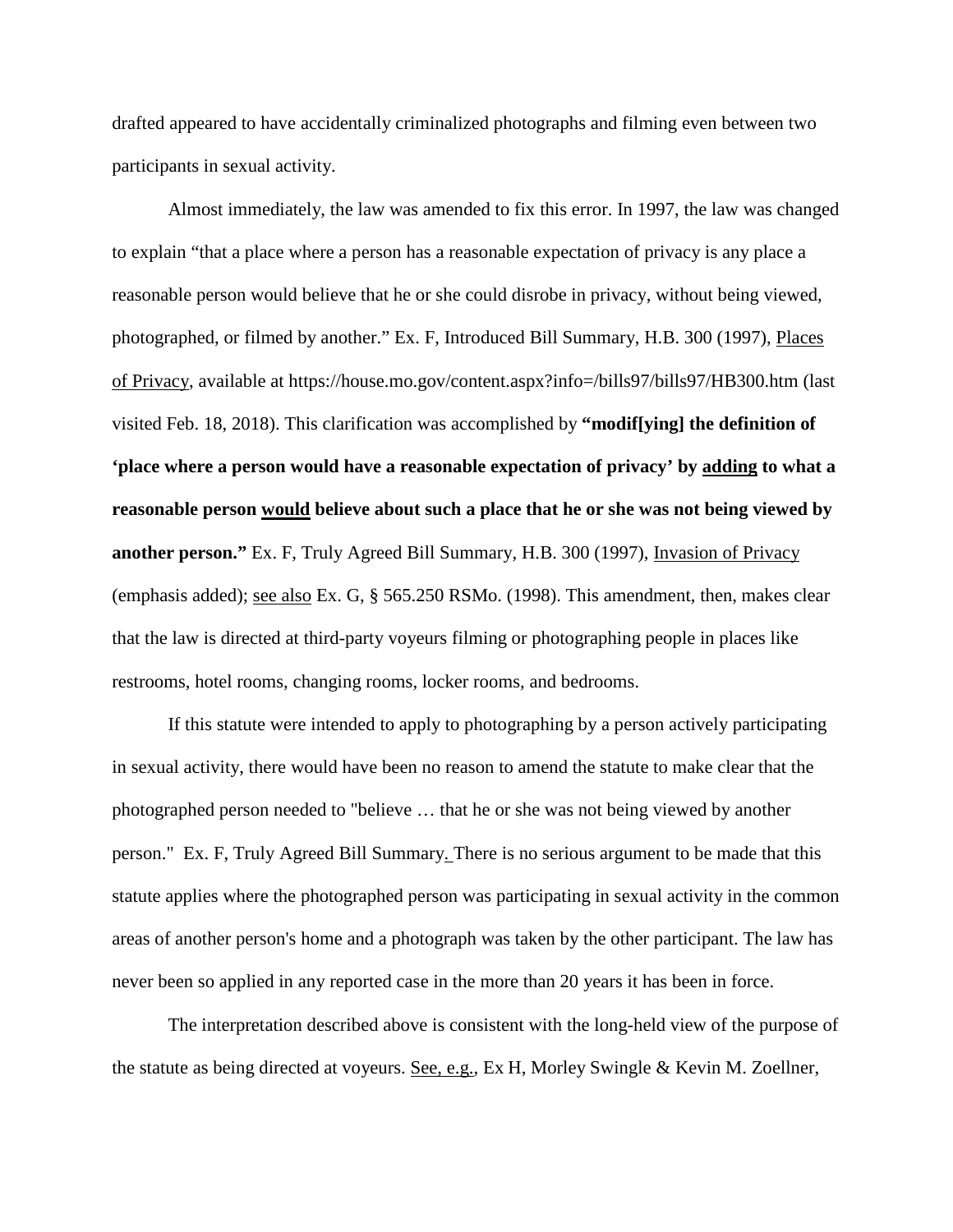drafted appeared to have accidentally criminalized photographs and filming even between two participants in sexual activity.

Almost immediately, the law was amended to fix this error. In 1997, the law was changed to explain "that a place where a person has a reasonable expectation of privacy is any place a reasonable person would believe that he or she could disrobe in privacy, without being viewed, photographed, or filmed by another." Ex. F, Introduced Bill Summary, H.B. 300 (1997), Places of Privacy, available at https://house.mo.gov/content.aspx?info=/bills97/bills97/HB300.htm (last visited Feb. 18, 2018). This clarification was accomplished by **"modif[ying] the definition of 'place where a person would have a reasonable expectation of privacy' by adding to what a reasonable person would believe about such a place that he or she was not being viewed by another person."** Ex. F, Truly Agreed Bill Summary, H.B. 300 (1997), Invasion of Privacy (emphasis added); see also Ex. G, § 565.250 RSMo. (1998). This amendment, then, makes clear that the law is directed at third-party voyeurs filming or photographing people in places like restrooms, hotel rooms, changing rooms, locker rooms, and bedrooms.

If this statute were intended to apply to photographing by a person actively participating in sexual activity, there would have been no reason to amend the statute to make clear that the photographed person needed to "believe … that he or she was not being viewed by another person." Ex. F, Truly Agreed Bill Summary. There is no serious argument to be made that this statute applies where the photographed person was participating in sexual activity in the common areas of another person's home and a photograph was taken by the other participant. The law has never been so applied in any reported case in the more than 20 years it has been in force.

The interpretation described above is consistent with the long-held view of the purpose of the statute as being directed at voyeurs. See, e.g., Ex H, Morley Swingle & Kevin M. Zoellner,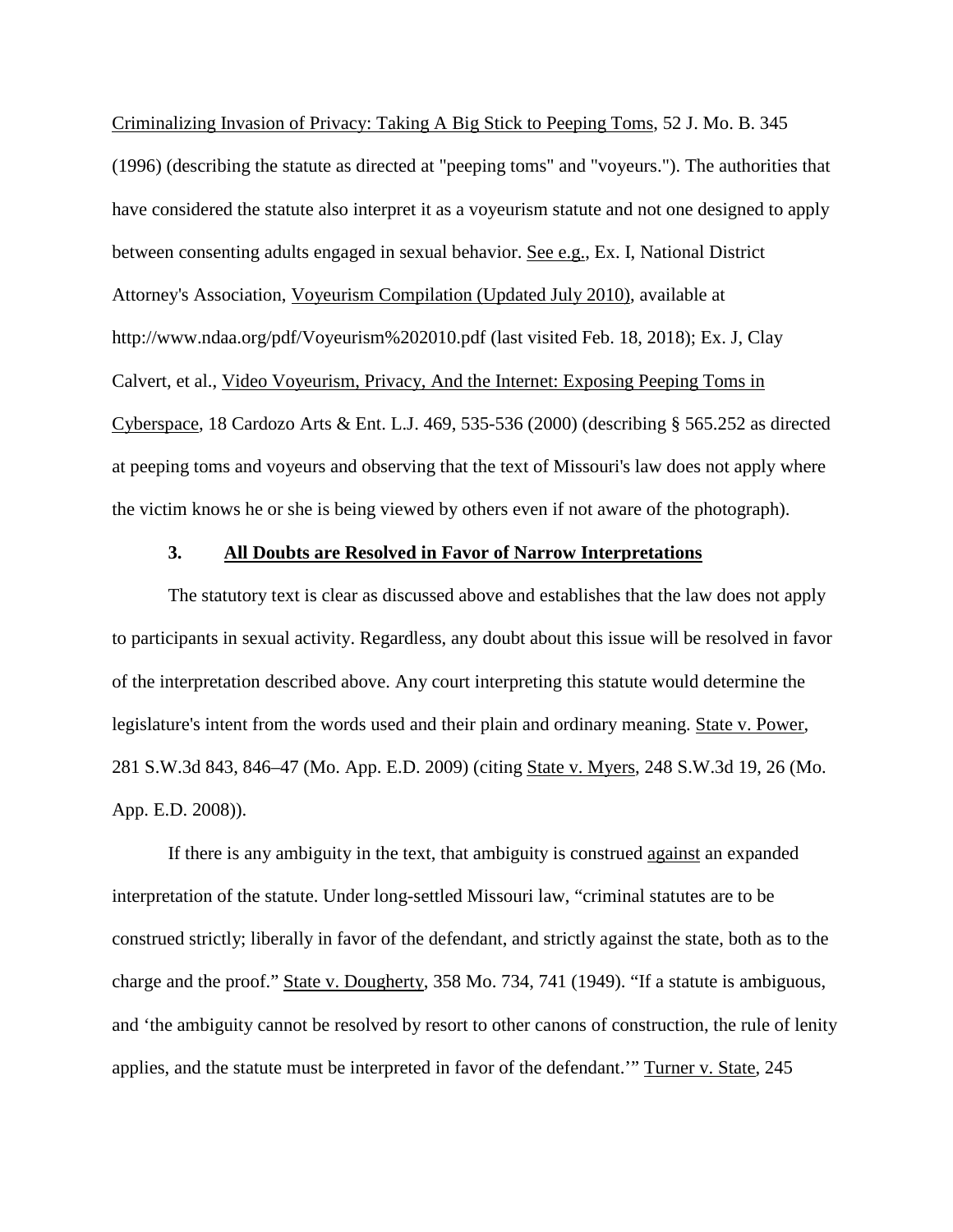Criminalizing Invasion of Privacy: Taking A Big Stick to Peeping Toms, 52 J. Mo. B. 345 (1996) (describing the statute as directed at "peeping toms" and "voyeurs."). The authorities that have considered the statute also interpret it as a voyeurism statute and not one designed to apply between consenting adults engaged in sexual behavior. See e.g., Ex. I, National District Attorney's Association, Voyeurism Compilation (Updated July 2010), available at http://www.ndaa.org/pdf/Voyeurism%202010.pdf (last visited Feb. 18, 2018); Ex. J, Clay Calvert, et al., Video Voyeurism, Privacy, And the Internet: Exposing Peeping Toms in Cyberspace, 18 Cardozo Arts & Ent. L.J. 469, 535-536 (2000) (describing § 565.252 as directed at peeping toms and voyeurs and observing that the text of Missouri's law does not apply where the victim knows he or she is being viewed by others even if not aware of the photograph).

#### **3. All Doubts are Resolved in Favor of Narrow Interpretations**

The statutory text is clear as discussed above and establishes that the law does not apply to participants in sexual activity. Regardless, any doubt about this issue will be resolved in favor of the interpretation described above. Any court interpreting this statute would determine the legislature's intent from the words used and their plain and ordinary meaning. State v. Power, 281 S.W.3d 843, 846–47 (Mo. App. E.D. 2009) (citing State v. Myers, 248 S.W.3d 19, 26 (Mo. App. E.D. 2008)).

If there is any ambiguity in the text, that ambiguity is construed against an expanded interpretation of the statute. Under long-settled Missouri law, "criminal statutes are to be construed strictly; liberally in favor of the defendant, and strictly against the state, both as to the charge and the proof." State v. Dougherty, 358 Mo. 734, 741 (1949). "If a statute is ambiguous, and 'the ambiguity cannot be resolved by resort to other canons of construction, the rule of lenity applies, and the statute must be interpreted in favor of the defendant.'" Turner v. State, 245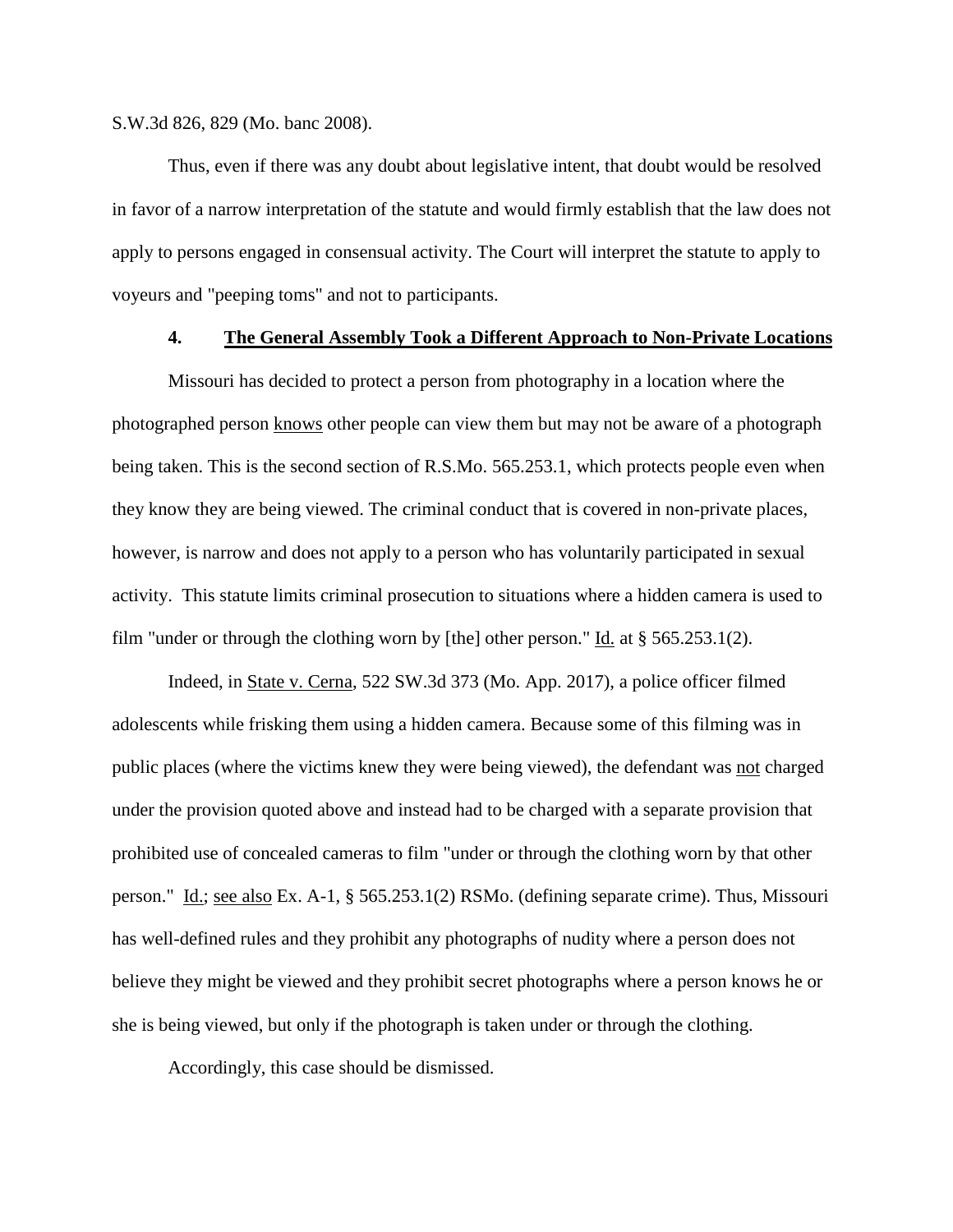S.W.3d 826, 829 (Mo. banc 2008).

Thus, even if there was any doubt about legislative intent, that doubt would be resolved in favor of a narrow interpretation of the statute and would firmly establish that the law does not apply to persons engaged in consensual activity. The Court will interpret the statute to apply to voyeurs and "peeping toms" and not to participants.

#### **4. The General Assembly Took a Different Approach to Non-Private Locations**

Missouri has decided to protect a person from photography in a location where the photographed person knows other people can view them but may not be aware of a photograph being taken. This is the second section of R.S.Mo. 565.253.1, which protects people even when they know they are being viewed. The criminal conduct that is covered in non-private places, however, is narrow and does not apply to a person who has voluntarily participated in sexual activity. This statute limits criminal prosecution to situations where a hidden camera is used to film "under or through the clothing worn by [the] other person." Id. at  $\S 565.253.1(2)$ .

Indeed, in State v. Cerna, 522 SW.3d 373 (Mo. App. 2017), a police officer filmed adolescents while frisking them using a hidden camera. Because some of this filming was in public places (where the victims knew they were being viewed), the defendant was not charged under the provision quoted above and instead had to be charged with a separate provision that prohibited use of concealed cameras to film "under or through the clothing worn by that other person." Id.; see also Ex. A-1, § 565.253.1(2) RSMo. (defining separate crime). Thus, Missouri has well-defined rules and they prohibit any photographs of nudity where a person does not believe they might be viewed and they prohibit secret photographs where a person knows he or she is being viewed, but only if the photograph is taken under or through the clothing.

Accordingly, this case should be dismissed.